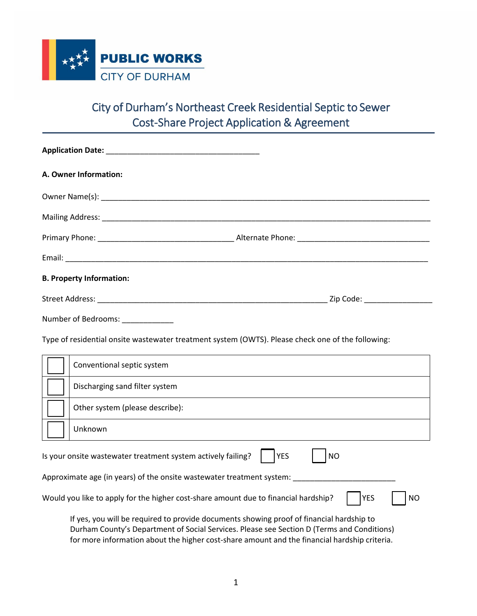

## City of Durham's Northeast Creek Residential Septic to Sewer Cost-Share Project Application & Agreement

| A. Owner Information:                                                                                                                                                                  |                         |
|----------------------------------------------------------------------------------------------------------------------------------------------------------------------------------------|-------------------------|
|                                                                                                                                                                                        |                         |
|                                                                                                                                                                                        |                         |
|                                                                                                                                                                                        |                         |
|                                                                                                                                                                                        |                         |
| <b>B. Property Information:</b>                                                                                                                                                        |                         |
|                                                                                                                                                                                        |                         |
| Number of Bedrooms: _____________                                                                                                                                                      |                         |
| Type of residential onsite wastewater treatment system (OWTS). Please check one of the following:                                                                                      |                         |
| Conventional septic system                                                                                                                                                             |                         |
| Discharging sand filter system                                                                                                                                                         |                         |
| Other system (please describe):                                                                                                                                                        |                         |
| Unknown                                                                                                                                                                                |                         |
| Is your onsite wastewater treatment system actively failing?                                                                                                                           | <b>YES</b><br><b>NO</b> |
| Approximate age (in years) of the onsite wastewater treatment system: ______________________________                                                                                   |                         |
| Would you like to apply for the higher cost-share amount due to financial hardship?                                                                                                    | <b>YES</b><br>NO        |
| If yes, you will be required to provide documents showing proof of financial hardship to<br>Durham County's Department of Social Services. Please see Section D (Terms and Conditions) |                         |

for more information about the higher cost-share amount and the financial hardship criteria.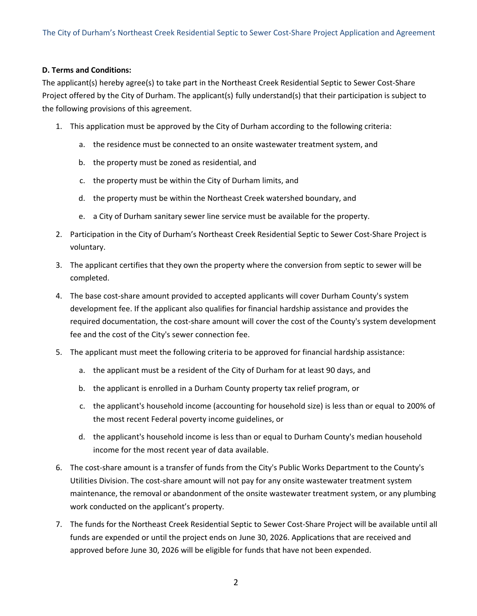## **D. Terms and Conditions:**

The applicant(s) hereby agree(s) to take part in the Northeast Creek Residential Septic to Sewer Cost-Share Project offered by the City of Durham. The applicant(s) fully understand(s) that their participation is subject to the following provisions of this agreement.

- 1. This application must be approved by the City of Durham according to the following criteria:
	- a. the residence must be connected to an onsite wastewater treatment system, and
	- b. the property must be zoned as residential, and
	- c. the property must be within the City of Durham limits, and
	- d. the property must be within the Northeast Creek watershed boundary, and
	- e. a City of Durham sanitary sewer line service must be available for the property.
- 2. Participation in the City of Durham's Northeast Creek Residential Septic to Sewer Cost-Share Project is voluntary.
- 3. The applicant certifies that they own the property where the conversion from septic to sewer will be completed.
- 4. The base cost-share amount provided to accepted applicants will cover Durham County's system development fee. If the applicant also qualifies for financial hardship assistance and provides the required documentation, the cost-share amount will cover the cost of the County's system development fee and the cost of the City's sewer connection fee.
- 5. The applicant must meet the following criteria to be approved for financial hardship assistance:
	- a. the applicant must be a resident of the City of Durham for at least 90 days, and
	- b. the applicant is enrolled in a Durham County property tax relief program, or
	- c. the applicant's household income (accounting for household size) is less than or equal to 200% of the most recent Federal poverty income guidelines, or
	- d. the applicant's household income is less than or equal to Durham County's median household income for the most recent year of data available.
- 6. The cost-share amount is a transfer of funds from the City's Public Works Department to the County's Utilities Division. The cost-share amount will not pay for any onsite wastewater treatment system maintenance, the removal or abandonment of the onsite wastewater treatment system, or any plumbing work conducted on the applicant's property.
- 7. The funds for the Northeast Creek Residential Septic to Sewer Cost-Share Project will be available until all funds are expended or until the project ends on June 30, 2026. Applications that are received and approved before June 30, 2026 will be eligible for funds that have not been expended.